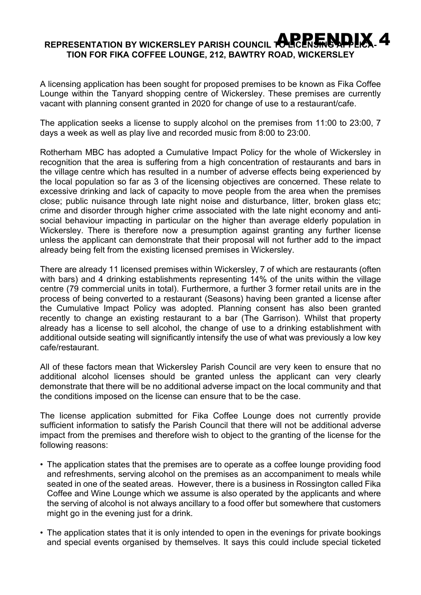## **REPRESENTATION BY WICKERSLEY PARISH COUNCIL TO LICENSING APPLICA-**APPENDIX 4**TION FOR FIKA COFFEE LOUNGE, 212, BAWTRY ROAD, WICKERSLEY**

A licensing application has been sought for proposed premises to be known as Fika Coffee Lounge within the Tanyard shopping centre of Wickersley. These premises are currently vacant with planning consent granted in 2020 for change of use to a restaurant/cafe.

The application seeks a license to supply alcohol on the premises from 11:00 to 23:00, 7 days a week as well as play live and recorded music from 8:00 to 23:00.

Rotherham MBC has adopted a Cumulative Impact Policy for the whole of Wickersley in recognition that the area is suffering from a high concentration of restaurants and bars in the village centre which has resulted in a number of adverse effects being experienced by the local population so far as 3 of the licensing objectives are concerned. These relate to excessive drinking and lack of capacity to move people from the area when the premises close; public nuisance through late night noise and disturbance, litter, broken glass etc; crime and disorder through higher crime associated with the late night economy and antisocial behaviour impacting in particular on the higher than average elderly population in Wickersley. There is therefore now a presumption against granting any further license unless the applicant can demonstrate that their proposal will not further add to the impact already being felt from the existing licensed premises in Wickersley.

There are already 11 licensed premises within Wickersley, 7 of which are restaurants (often with bars) and 4 drinking establishments representing 14% of the units within the village centre (79 commercial units in total). Furthermore, a further 3 former retail units are in the process of being converted to a restaurant (Seasons) having been granted a license after the Cumulative Impact Policy was adopted. Planning consent has also been granted recently to change an existing restaurant to a bar (The Garrison). Whilst that property already has a license to sell alcohol, the change of use to a drinking establishment with additional outside seating will significantly intensify the use of what was previously a low key cafe/restaurant.

All of these factors mean that Wickersley Parish Council are very keen to ensure that no additional alcohol licenses should be granted unless the applicant can very clearly demonstrate that there will be no additional adverse impact on the local community and that the conditions imposed on the license can ensure that to be the case.

The license application submitted for Fika Coffee Lounge does not currently provide sufficient information to satisfy the Parish Council that there will not be additional adverse impact from the premises and therefore wish to object to the granting of the license for the following reasons:

- The application states that the premises are to operate as a coffee lounge providing food and refreshments, serving alcohol on the premises as an accompaniment to meals while seated in one of the seated areas. However, there is a business in Rossington called Fika Coffee and Wine Lounge which we assume is also operated by the applicants and where the serving of alcohol is not always ancillary to a food offer but somewhere that customers might go in the evening just for a drink.
- The application states that it is only intended to open in the evenings for private bookings and special events organised by themselves. It says this could include special ticketed